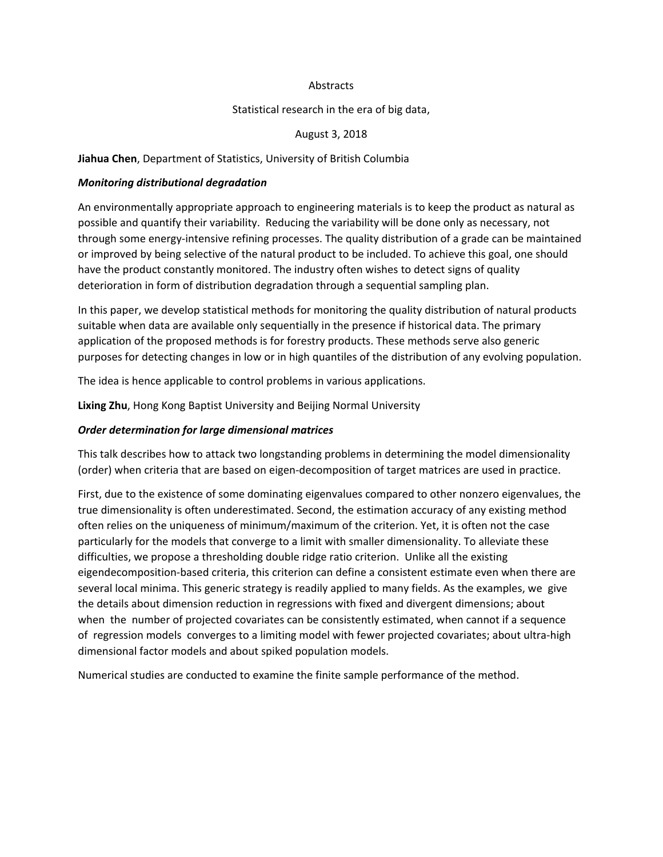### Abstracts

### Statistical research in the era of big data,

### August 3, 2018

### **Jiahua Chen**, Department of Statistics, University of British Columbia

#### *Monitoring distributional degradation*

An environmentally appropriate approach to engineering materials is to keep the product as natural as possible and quantify their variability. Reducing the variability will be done only as necessary, not through some energy-intensive refining processes. The quality distribution of a grade can be maintained or improved by being selective of the natural product to be included. To achieve this goal, one should have the product constantly monitored. The industry often wishes to detect signs of quality deterioration in form of distribution degradation through a sequential sampling plan.

In this paper, we develop statistical methods for monitoring the quality distribution of natural products suitable when data are available only sequentially in the presence if historical data. The primary application of the proposed methods is for forestry products. These methods serve also generic purposes for detecting changes in low or in high quantiles of the distribution of any evolving population.

The idea is hence applicable to control problems in various applications.

**Lixing Zhu**, Hong Kong Baptist University and Beijing Normal University

#### *Order determination for large dimensional matrices*

This talk describes how to attack two longstanding problems in determining the model dimensionality (order) when criteria that are based on eigen-decomposition of target matrices are used in practice.

First, due to the existence of some dominating eigenvalues compared to other nonzero eigenvalues, the true dimensionality is often underestimated. Second, the estimation accuracy of any existing method often relies on the uniqueness of minimum/maximum of the criterion. Yet, it is often not the case particularly for the models that converge to a limit with smaller dimensionality. To alleviate these difficulties, we propose a thresholding double ridge ratio criterion. Unlike all the existing eigendecomposition-based criteria, this criterion can define a consistent estimate even when there are several local minima. This generic strategy is readily applied to many fields. As the examples, we give the details about dimension reduction in regressions with fixed and divergent dimensions; about when the number of projected covariates can be consistently estimated, when cannot if a sequence of regression models converges to a limiting model with fewer projected covariates; about ultra-high dimensional factor models and about spiked population models.

Numerical studies are conducted to examine the finite sample performance of the method.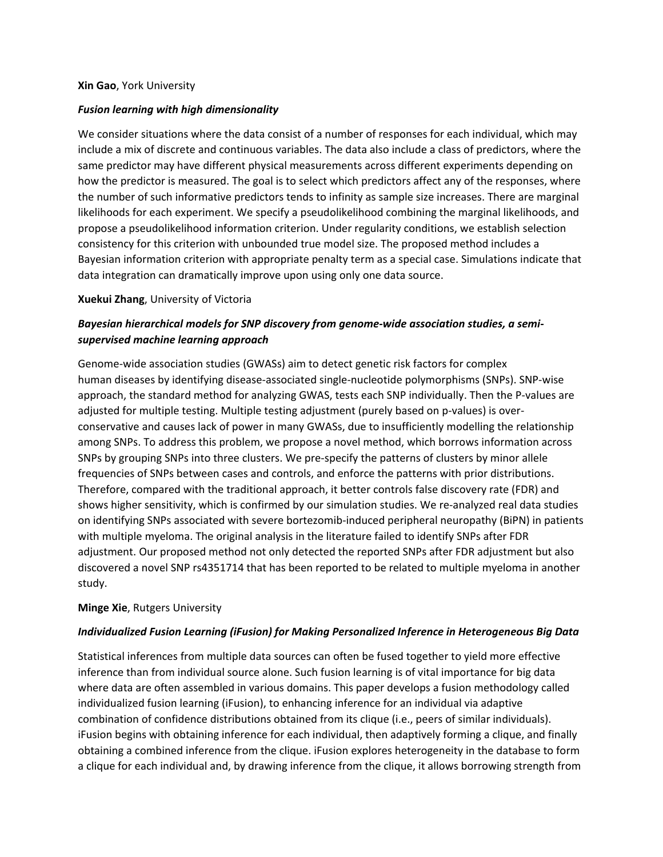### **Xin Gao**, York University

## *Fusion learning with high dimensionality*

We consider situations where the data consist of a number of responses for each individual, which may include a mix of discrete and continuous variables. The data also include a class of predictors, where the same predictor may have different physical measurements across different experiments depending on how the predictor is measured. The goal is to select which predictors affect any of the responses, where the number of such informative predictors tends to infinity as sample size increases. There are marginal likelihoods for each experiment. We specify a pseudolikelihood combining the marginal likelihoods, and propose a pseudolikelihood information criterion. Under regularity conditions, we establish selection consistency for this criterion with unbounded true model size. The proposed method includes a Bayesian information criterion with appropriate penalty term as a special case. Simulations indicate that data integration can dramatically improve upon using only one data source.

### **Xuekui Zhang**, University of Victoria

## *Bayesian hierarchical models for SNP discovery from genome-wide association studies, a semisupervised machine learning approach*

Genome-wide association studies (GWASs) aim to detect genetic risk factors for complex human diseases by identifying disease-associated single-nucleotide polymorphisms (SNPs). SNP-wise approach, the standard method for analyzing GWAS, tests each SNP individually. Then the P-values are adjusted for multiple testing. Multiple testing adjustment (purely based on p-values) is overconservative and causes lack of power in many GWASs, due to insufficiently modelling the relationship among SNPs. To address this problem, we propose a novel method, which borrows information across SNPs by grouping SNPs into three clusters. We pre-specify the patterns of clusters by minor allele frequencies of SNPs between cases and controls, and enforce the patterns with prior distributions. Therefore, compared with the traditional approach, it better controls false discovery rate (FDR) and shows higher sensitivity, which is confirmed by our simulation studies. We re-analyzed real data studies on identifying SNPs associated with severe bortezomib-induced peripheral neuropathy (BiPN) in patients with multiple myeloma. The original analysis in the literature failed to identify SNPs after FDR adjustment. Our proposed method not only detected the reported SNPs after FDR adjustment but also discovered a novel SNP rs4351714 that has been reported to be related to multiple myeloma in another study.

## **Minge Xie**, Rutgers University

## *Individualized Fusion Learning (iFusion) for Making Personalized Inference in Heterogeneous Big Data*

Statistical inferences from multiple data sources can often be fused together to yield more effective inference than from individual source alone. Such fusion learning is of vital importance for big data where data are often assembled in various domains. This paper develops a fusion methodology called individualized fusion learning (iFusion), to enhancing inference for an individual via adaptive combination of confidence distributions obtained from its clique (i.e., peers of similar individuals). iFusion begins with obtaining inference for each individual, then adaptively forming a clique, and finally obtaining a combined inference from the clique. iFusion explores heterogeneity in the database to form a clique for each individual and, by drawing inference from the clique, it allows borrowing strength from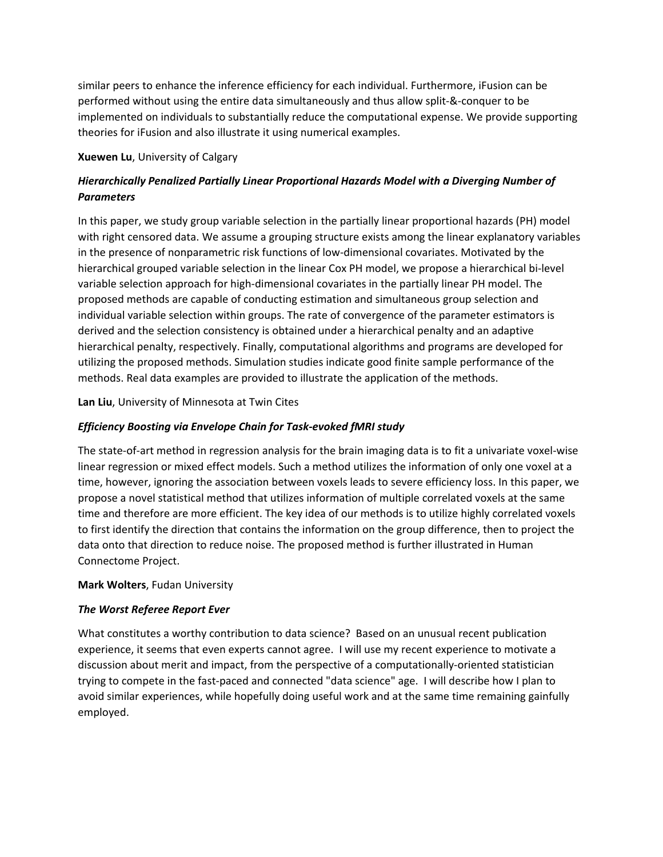similar peers to enhance the inference efficiency for each individual. Furthermore, iFusion can be performed without using the entire data simultaneously and thus allow split-&-conquer to be implemented on individuals to substantially reduce the computational expense. We provide supporting theories for iFusion and also illustrate it using numerical examples.

**Xuewen Lu**, University of Calgary

# *Hierarchically Penalized Partially Linear Proportional Hazards Model with a Diverging Number of Parameters*

In this paper, we study group variable selection in the partially linear proportional hazards (PH) model with right censored data. We assume a grouping structure exists among the linear explanatory variables in the presence of nonparametric risk functions of low-dimensional covariates. Motivated by the hierarchical grouped variable selection in the linear Cox PH model, we propose a hierarchical bi-level variable selection approach for high-dimensional covariates in the partially linear PH model. The proposed methods are capable of conducting estimation and simultaneous group selection and individual variable selection within groups. The rate of convergence of the parameter estimators is derived and the selection consistency is obtained under a hierarchical penalty and an adaptive hierarchical penalty, respectively. Finally, computational algorithms and programs are developed for utilizing the proposed methods. Simulation studies indicate good finite sample performance of the methods. Real data examples are provided to illustrate the application of the methods.

**Lan Liu**, University of Minnesota at Twin Cites

## *Efficiency Boosting via Envelope Chain for Task-evoked fMRI study*

The state-of-art method in regression analysis for the brain imaging data is to fit a univariate voxel-wise linear regression or mixed effect models. Such a method utilizes the information of only one voxel at a time, however, ignoring the association between voxels leads to severe efficiency loss. In this paper, we propose a novel statistical method that utilizes information of multiple correlated voxels at the same time and therefore are more efficient. The key idea of our methods is to utilize highly correlated voxels to first identify the direction that contains the information on the group difference, then to project the data onto that direction to reduce noise. The proposed method is further illustrated in Human Connectome Project.

## **Mark Wolters**, Fudan University

## *The Worst Referee Report Ever*

What constitutes a worthy contribution to data science? Based on an unusual recent publication experience, it seems that even experts cannot agree. I will use my recent experience to motivate a discussion about merit and impact, from the perspective of a computationally-oriented statistician trying to compete in the fast-paced and connected "data science" age. I will describe how I plan to avoid similar experiences, while hopefully doing useful work and at the same time remaining gainfully employed.